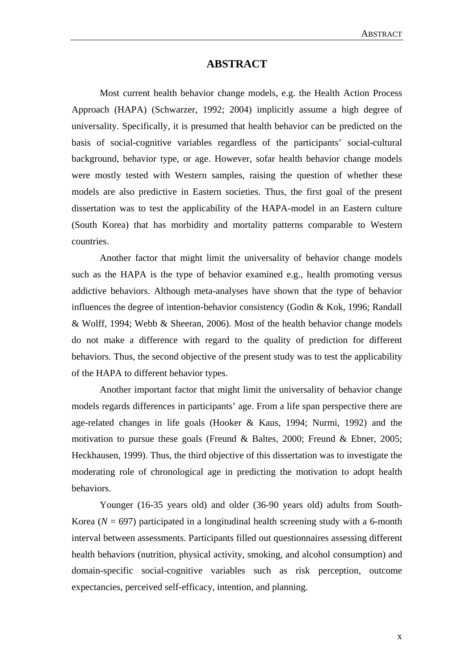## **ABSTRACT**

Most current health behavior change models, e.g. the Health Action Process Approach (HAPA) (Schwarzer, 1992; 2004) implicitly assume a high degree of universality. Specifically, it is presumed that health behavior can be predicted on the basis of social-cognitive variables regardless of the participants' social-cultural background, behavior type, or age. However, sofar health behavior change models were mostly tested with Western samples, raising the question of whether these models are also predictive in Eastern societies. Thus, the first goal of the present dissertation was to test the applicability of the HAPA-model in an Eastern culture (South Korea) that has morbidity and mortality patterns comparable to Western countries.

Another factor that might limit the universality of behavior change models such as the HAPA is the type of behavior examined e.g., health promoting versus addictive behaviors. Although meta-analyses have shown that the type of behavior influences the degree of intention-behavior consistency (Godin & Kok, 1996; Randall & Wolff, 1994; Webb & Sheeran, 2006). Most of the health behavior change models do not make a difference with regard to the quality of prediction for different behaviors. Thus, the second objective of the present study was to test the applicability of the HAPA to different behavior types.

Another important factor that might limit the universality of behavior change models regards differences in participants' age. From a life span perspective there are age-related changes in life goals (Hooker & Kaus, 1994; Nurmi, 1992) and the motivation to pursue these goals (Freund & Baltes, 2000; Freund & Ebner, 2005; Heckhausen, 1999). Thus, the third objective of this dissertation was to investigate the moderating role of chronological age in predicting the motivation to adopt health behaviors.

Younger (16-35 years old) and older (36-90 years old) adults from South-Korea ( $N = 697$ ) participated in a longitudinal health screening study with a 6-month interval between assessments. Participants filled out questionnaires assessing different health behaviors (nutrition, physical activity, smoking, and alcohol consumption) and domain-specific social-cognitive variables such as risk perception, outcome expectancies, perceived self-efficacy, intention, and planning.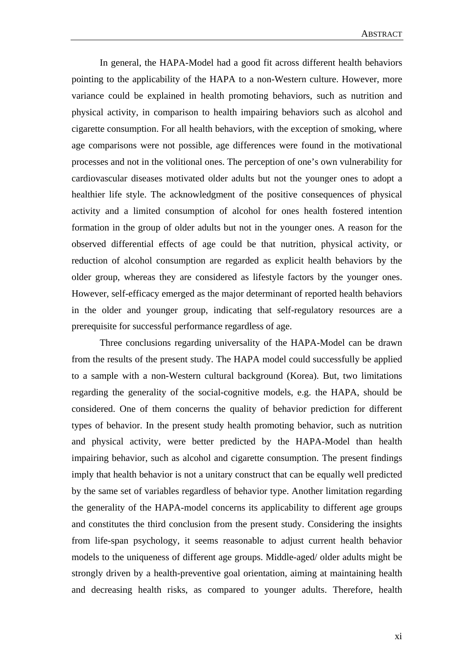In general, the HAPA-Model had a good fit across different health behaviors pointing to the applicability of the HAPA to a non-Western culture. However, more variance could be explained in health promoting behaviors, such as nutrition and physical activity, in comparison to health impairing behaviors such as alcohol and cigarette consumption. For all health behaviors, with the exception of smoking, where age comparisons were not possible, age differences were found in the motivational processes and not in the volitional ones. The perception of one's own vulnerability for cardiovascular diseases motivated older adults but not the younger ones to adopt a healthier life style. The acknowledgment of the positive consequences of physical activity and a limited consumption of alcohol for ones health fostered intention formation in the group of older adults but not in the younger ones. A reason for the observed differential effects of age could be that nutrition, physical activity, or reduction of alcohol consumption are regarded as explicit health behaviors by the older group, whereas they are considered as lifestyle factors by the younger ones. However, self-efficacy emerged as the major determinant of reported health behaviors in the older and younger group, indicating that self-regulatory resources are a prerequisite for successful performance regardless of age.

Three conclusions regarding universality of the HAPA-Model can be drawn from the results of the present study. The HAPA model could successfully be applied to a sample with a non-Western cultural background (Korea). But, two limitations regarding the generality of the social-cognitive models, e.g. the HAPA, should be considered. One of them concerns the quality of behavior prediction for different types of behavior. In the present study health promoting behavior, such as nutrition and physical activity, were better predicted by the HAPA-Model than health impairing behavior, such as alcohol and cigarette consumption. The present findings imply that health behavior is not a unitary construct that can be equally well predicted by the same set of variables regardless of behavior type. Another limitation regarding the generality of the HAPA-model concerns its applicability to different age groups and constitutes the third conclusion from the present study. Considering the insights from life-span psychology, it seems reasonable to adjust current health behavior models to the uniqueness of different age groups. Middle-aged/ older adults might be strongly driven by a health-preventive goal orientation, aiming at maintaining health and decreasing health risks, as compared to younger adults. Therefore, health